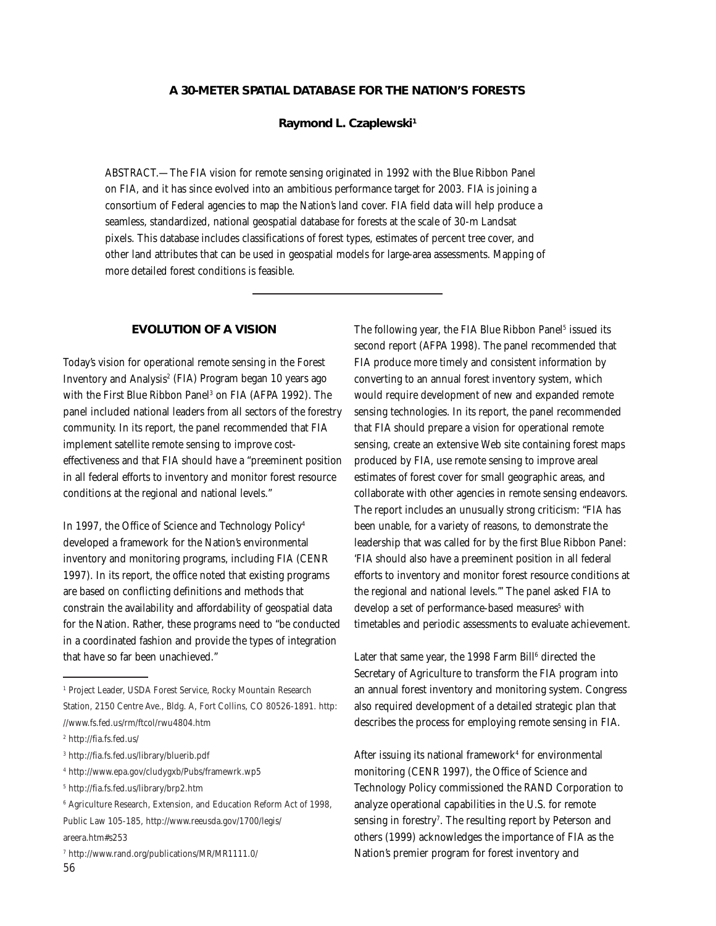# **A 30-METER SPATIAL DATABASE FOR THE NATION'S FORESTS**

#### **Raymond L. Czaplewski1**

ABSTRACT.—The FIA vision for remote sensing originated in 1992 with the Blue Ribbon Panel on FIA, and it has since evolved into an ambitious performance target for 2003. FIA is joining a consortium of Federal agencies to map the Nation's land cover. FIA field data will help produce a seamless, standardized, national geospatial database for forests at the scale of 30-m Landsat pixels. This database includes classifications of forest types, estimates of percent tree cover, and other land attributes that can be used in geospatial models for large-area assessments. Mapping of more detailed forest conditions is feasible.

## **EVOLUTION OF A VISION**

Today's vision for operational remote sensing in the Forest Inventory and Analysis<sup>2</sup> (FIA) Program began 10 years ago with the First Blue Ribbon Panel<sup>3</sup> on FIA (AFPA 1992). The panel included national leaders from all sectors of the forestry community. In its report, the panel recommended that FIA implement satellite remote sensing to improve costeffectiveness and that FIA should have a "preeminent position in all federal efforts to inventory and monitor forest resource conditions at the regional and national levels."

In 1997, the Office of Science and Technology Policy4 developed a framework for the Nation's environmental inventory and monitoring programs, including FIA (CENR 1997). In its report, the office noted that existing programs are based on conflicting definitions and methods that constrain the availability and affordability of geospatial data for the Nation. Rather, these programs need to "be conducted in a coordinated fashion and provide the types of integration that have so far been unachieved."

4 http://www.epa.gov/cludygxb/Pubs/framewrk.wp5

The following year, the FIA Blue Ribbon Panel<sup>5</sup> issued its second report (AFPA 1998). The panel recommended that FIA produce more timely and consistent information by converting to an annual forest inventory system, which would require development of new and expanded remote sensing technologies. In its report, the panel recommended that FIA should prepare a vision for operational remote sensing, create an extensive Web site containing forest maps produced by FIA, use remote sensing to improve areal estimates of forest cover for small geographic areas, and collaborate with other agencies in remote sensing endeavors. The report includes an unusually strong criticism: "FIA has been unable, for a variety of reasons, to demonstrate the leadership that was called for by the first Blue Ribbon Panel: 'FIA should also have a preeminent position in all federal efforts to inventory and monitor forest resource conditions at the regional and national levels.''' The panel asked FIA to develop a set of performance-based measures<sup>5</sup> with timetables and periodic assessments to evaluate achievement.

Later that same year, the 1998 Farm Bill $^6$  directed the Secretary of Agriculture to transform the FIA program into an annual forest inventory and monitoring system. Congress also required development of a detailed strategic plan that describes the process for employing remote sensing in FIA.

After issuing its national framewor $\mathrm{k}^4$  for environmental monitoring (CENR 1997), the Office of Science and Technology Policy commissioned the RAND Corporation to analyze operational capabilities in the U.S. for remote sensing in forestry<sup>7</sup>. The resulting report by Peterson and others (1999) acknowledges the importance of FIA as the Nation's premier program for forest inventory and

<sup>1</sup> Project Leader, USDA Forest Service, Rocky Mountain Research Station, 2150 Centre Ave., Bldg. A, Fort Collins, CO 80526-1891. http: //www.fs.fed.us/rm/ftcol/rwu4804.htm

<sup>2</sup> http://fia.fs.fed.us/

<sup>3</sup> http://fia.fs.fed.us/library/bluerib.pdf

<sup>5</sup> http://fia.fs.fed.us/library/brp2.htm

<sup>6</sup> Agriculture Research, Extension, and Education Reform Act of 1998, Public Law 105-185, http://www.reeusda.gov/1700/legis/

areera.htm#s253

<sup>7</sup> http://www.rand.org/publications/MR/MR1111.0/ 56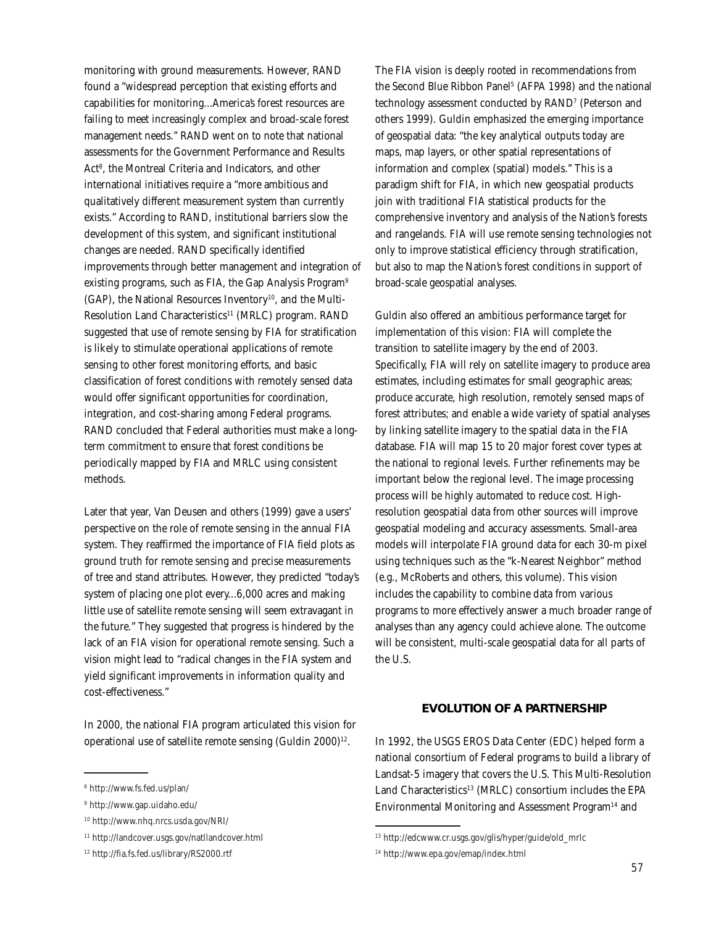monitoring with ground measurements. However, RAND found a "widespread perception that existing efforts and capabilities for monitoring...America's forest resources are failing to meet increasingly complex and broad-scale forest management needs." RAND went on to note that national assessments for the Government Performance and Results Act<sup>8</sup>, the Montreal Criteria and Indicators, and other international initiatives require a "more ambitious and qualitatively different measurement system than currently exists." According to RAND, institutional barriers slow the development of this system, and significant institutional changes are needed. RAND specifically identified improvements through better management and integration of existing programs, such as FIA, the Gap Analysis Program<sup>9</sup>  $(GAP)$ , the National Resources Inventory<sup>10</sup>, and the Multi-Resolution Land Characteristics<sup>11</sup> (MRLC) program. RAND suggested that use of remote sensing by FIA for stratification is likely to stimulate operational applications of remote sensing to other forest monitoring efforts, and basic classification of forest conditions with remotely sensed data would offer significant opportunities for coordination, integration, and cost-sharing among Federal programs. RAND concluded that Federal authorities must make a longterm commitment to ensure that forest conditions be periodically mapped by FIA and MRLC using consistent methods.

Later that year, Van Deusen and others (1999) gave a users' perspective on the role of remote sensing in the annual FIA system. They reaffirmed the importance of FIA field plots as ground truth for remote sensing and precise measurements of tree and stand attributes. However, they predicted "today's system of placing one plot every...6,000 acres and making little use of satellite remote sensing will seem extravagant in the future." They suggested that progress is hindered by the lack of an FIA vision for operational remote sensing. Such a vision might lead to "radical changes in the FIA system and yield significant improvements in information quality and cost-effectiveness."

In 2000, the national FIA program articulated this vision for operational use of satellite remote sensing  $(Guldin 2000)^{12}$ .

The FIA vision is deeply rooted in recommendations from the Second Blue Ribbon Panel $^{\rm 5}$  (AFPA 1998) and the national technology assessment conducted by RAND7 (Peterson and others 1999). Guldin emphasized the emerging importance of geospatial data: "the key analytical outputs today are maps, map layers, or other spatial representations of information and complex (spatial) models." This is a paradigm shift for FIA, in which new geospatial products join with traditional FIA statistical products for the comprehensive inventory and analysis of the Nation's forests and rangelands. FIA will use remote sensing technologies not only to improve statistical efficiency through stratification, but also to map the Nation's forest conditions in support of broad-scale geospatial analyses.

Guldin also offered an ambitious performance target for implementation of this vision: FIA will complete the transition to satellite imagery by the end of 2003. Specifically, FIA will rely on satellite imagery to produce area estimates, including estimates for small geographic areas; produce accurate, high resolution, remotely sensed maps of forest attributes; and enable a wide variety of spatial analyses by linking satellite imagery to the spatial data in the FIA database. FIA will map 15 to 20 major forest cover types at the national to regional levels. Further refinements may be important below the regional level. The image processing process will be highly automated to reduce cost. Highresolution geospatial data from other sources will improve geospatial modeling and accuracy assessments. Small-area models will interpolate FIA ground data for each 30-m pixel using techniques such as the "k-Nearest Neighbor" method (e.g., McRoberts and others, this volume). This vision includes the capability to combine data from various programs to more effectively answer a much broader range of analyses than any agency could achieve alone. The outcome will be consistent, multi-scale geospatial data for all parts of the U.S.

# **EVOLUTION OF A PARTNERSHIP**

In 1992, the USGS EROS Data Center (EDC) helped form a national consortium of Federal programs to build a library of Landsat-5 imagery that covers the U.S. This Multi-Resolution Land Characteristics<sup>13</sup> (MRLC) consortium includes the EPA Environmental Monitoring and Assessment Program<sup>14</sup> and

<sup>8</sup> http://www.fs.fed.us/plan/

<sup>9</sup> http://www.gap.uidaho.edu/

<sup>10</sup> http://www.nhq.nrcs.usda.gov/NRI/

<sup>11</sup> http://landcover.usgs.gov/natllandcover.html

<sup>12</sup> http://fia.fs.fed.us/library/RS2000.rtf

<sup>13</sup> http://edcwww.cr.usgs.gov/glis/hyper/guide/old\_mrlc

<sup>14</sup> http://www.epa.gov/emap/index.html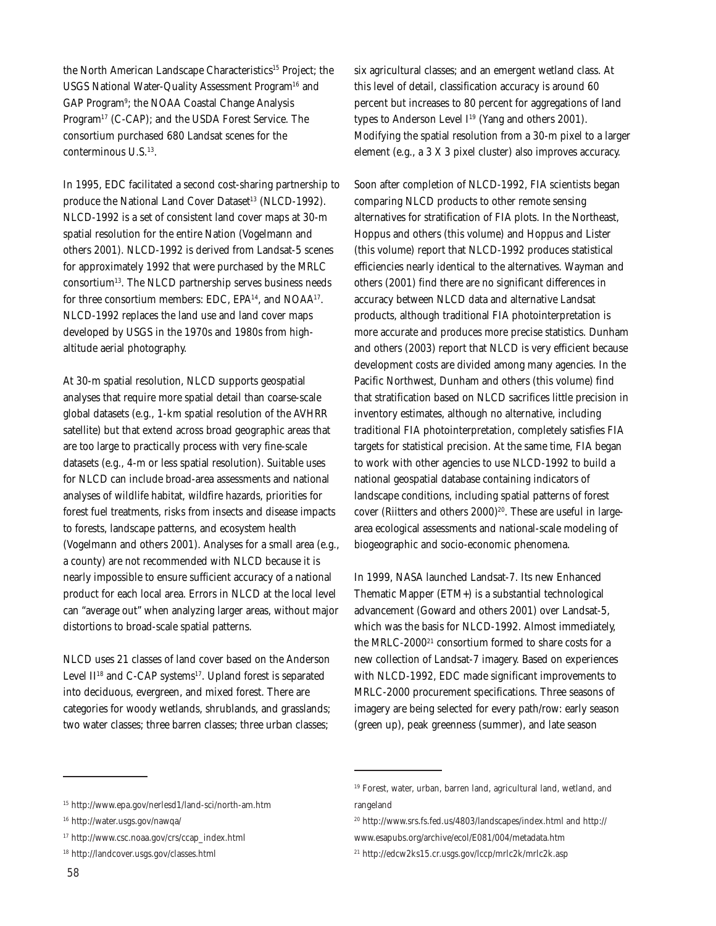the North American Landscape Characteristics<sup>15</sup> Project; the USGS National Water-Quality Assessment Program<sup>16</sup> and GAP Program<sup>9</sup>; the NOAA Coastal Change Analysis Program<sup>17</sup> (C-CAP); and the USDA Forest Service. The consortium purchased 680 Landsat scenes for the conterminous U.S.13.

In 1995, EDC facilitated a second cost-sharing partnership to produce the National Land Cover Dataset<sup>13</sup> (NLCD-1992). NLCD-1992 is a set of consistent land cover maps at 30-m spatial resolution for the entire Nation (Vogelmann and others 2001). NLCD-1992 is derived from Landsat-5 scenes for approximately 1992 that were purchased by the MRLC consortium13. The NLCD partnership serves business needs for three consortium members: EDC, EPA<sup>14</sup>, and NOAA<sup>17</sup>. NLCD-1992 replaces the land use and land cover maps developed by USGS in the 1970s and 1980s from highaltitude aerial photography.

At 30-m spatial resolution, NLCD supports geospatial analyses that require more spatial detail than coarse-scale global datasets (e.g., 1-km spatial resolution of the AVHRR satellite) but that extend across broad geographic areas that are too large to practically process with very fine-scale datasets (e.g., 4-m or less spatial resolution). Suitable uses for NLCD can include broad-area assessments and national analyses of wildlife habitat, wildfire hazards, priorities for forest fuel treatments, risks from insects and disease impacts to forests, landscape patterns, and ecosystem health (Vogelmann and others 2001). Analyses for a small area (e.g., a county) are not recommended with NLCD because it is nearly impossible to ensure sufficient accuracy of a national product for each local area. Errors in NLCD at the local level can "average out" when analyzing larger areas, without major distortions to broad-scale spatial patterns.

NLCD uses 21 classes of land cover based on the Anderson Level II<sup>18</sup> and C-CAP systems<sup>17</sup>. Upland forest is separated into deciduous, evergreen, and mixed forest. There are categories for woody wetlands, shrublands, and grasslands; two water classes; three barren classes; three urban classes;

six agricultural classes; and an emergent wetland class. At this level of detail, classification accuracy is around 60 percent but increases to 80 percent for aggregations of land types to Anderson Level I<sup>19</sup> (Yang and others 2001). Modifying the spatial resolution from a 30-m pixel to a larger element (e.g., a 3 X 3 pixel cluster) also improves accuracy.

Soon after completion of NLCD-1992, FIA scientists began comparing NLCD products to other remote sensing alternatives for stratification of FIA plots. In the Northeast, Hoppus and others (this volume) and Hoppus and Lister (this volume) report that NLCD-1992 produces statistical efficiencies nearly identical to the alternatives. Wayman and others (2001) find there are no significant differences in accuracy between NLCD data and alternative Landsat products, although traditional FIA photointerpretation is more accurate and produces more precise statistics. Dunham and others (2003) report that NLCD is very efficient because development costs are divided among many agencies. In the Pacific Northwest, Dunham and others (this volume) find that stratification based on NLCD sacrifices little precision in inventory estimates, although no alternative, including traditional FIA photointerpretation, completely satisfies FIA targets for statistical precision. At the same time, FIA began to work with other agencies to use NLCD-1992 to build a national geospatial database containing indicators of landscape conditions, including spatial patterns of forest cover (Riitters and others  $2000)^{20}$ . These are useful in largearea ecological assessments and national-scale modeling of biogeographic and socio-economic phenomena.

In 1999, NASA launched Landsat-7. Its new Enhanced Thematic Mapper (ETM+) is a substantial technological advancement (Goward and others 2001) over Landsat-5, which was the basis for NLCD-1992. Almost immediately, the MRLC-2000<sup>21</sup> consortium formed to share costs for a new collection of Landsat-7 imagery. Based on experiences with NLCD-1992, EDC made significant improvements to MRLC-2000 procurement specifications. Three seasons of imagery are being selected for every path/row: early season (green up), peak greenness (summer), and late season

<sup>15</sup> http://www.epa.gov/nerlesd1/land-sci/north-am.htm

<sup>16</sup> http://water.usgs.gov/nawqa/

<sup>17</sup> http://www.csc.noaa.gov/crs/ccap\_index.html

<sup>18</sup> http://landcover.usgs.gov/classes.html

<sup>20</sup> http://www.srs.fs.fed.us/4803/landscapes/index.html and http:// www.esapubs.org/archive/ecol/E081/004/metadata.htm

<sup>21</sup> http://edcw2ks15.cr.usgs.gov/lccp/mrlc2k/mrlc2k.asp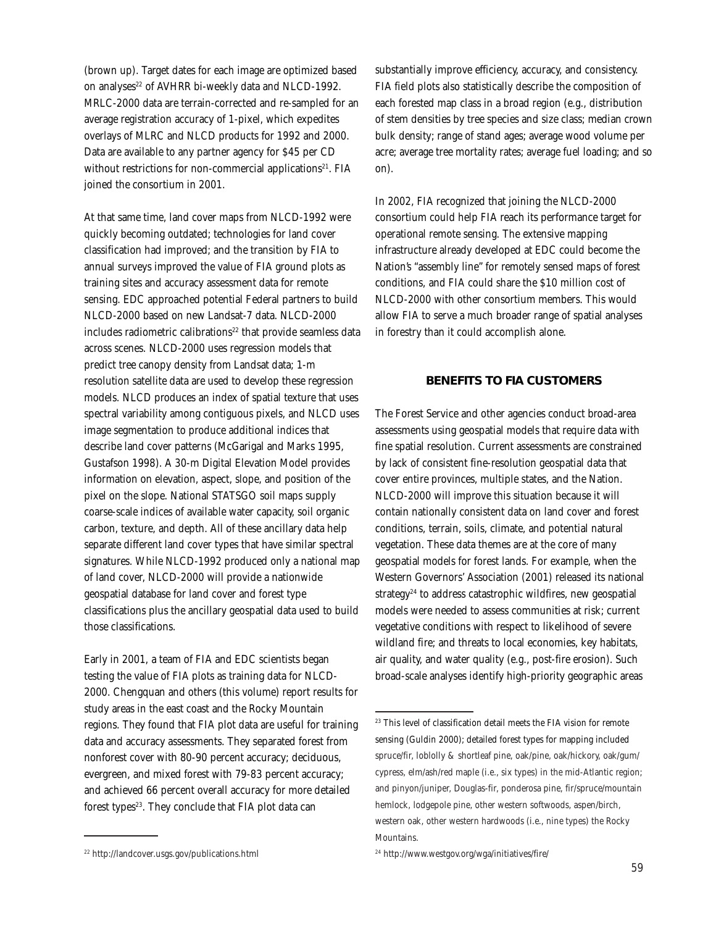(brown up). Target dates for each image are optimized based on analyses<sup>22</sup> of AVHRR bi-weekly data and NLCD-1992. MRLC-2000 data are terrain-corrected and re-sampled for an average registration accuracy of 1-pixel, which expedites overlays of MLRC and NLCD products for 1992 and 2000. Data are available to any partner agency for \$45 per CD without restrictions for non-commercial applications<sup>21</sup>. FIA joined the consortium in 2001.

At that same time, land cover maps from NLCD-1992 were quickly becoming outdated; technologies for land cover classification had improved; and the transition by FIA to annual surveys improved the value of FIA ground plots as training sites and accuracy assessment data for remote sensing. EDC approached potential Federal partners to build NLCD-2000 based on new Landsat-7 data. NLCD-2000 includes radiometric calibrations<sup>22</sup> that provide seamless data across scenes. NLCD-2000 uses regression models that predict tree canopy density from Landsat data; 1-m resolution satellite data are used to develop these regression models. NLCD produces an index of spatial texture that uses spectral variability among contiguous pixels, and NLCD uses image segmentation to produce additional indices that describe land cover patterns (McGarigal and Marks 1995, Gustafson 1998). A 30-m Digital Elevation Model provides information on elevation, aspect, slope, and position of the pixel on the slope. National STATSGO soil maps supply coarse-scale indices of available water capacity, soil organic carbon, texture, and depth. All of these ancillary data help separate different land cover types that have similar spectral signatures. While NLCD-1992 produced only a national map of land cover, NLCD-2000 will provide a nationwide geospatial database for land cover and forest type classifications plus the ancillary geospatial data used to build those classifications.

Early in 2001, a team of FIA and EDC scientists began testing the value of FIA plots as training data for NLCD-2000. Chengquan and others (this volume) report results for study areas in the east coast and the Rocky Mountain regions. They found that FIA plot data are useful for training data and accuracy assessments. They separated forest from nonforest cover with 80-90 percent accuracy; deciduous, evergreen, and mixed forest with 79-83 percent accuracy; and achieved 66 percent overall accuracy for more detailed forest types<sup>23</sup>. They conclude that FIA plot data can

substantially improve efficiency, accuracy, and consistency. FIA field plots also statistically describe the composition of each forested map class in a broad region (e.g., distribution of stem densities by tree species and size class; median crown bulk density; range of stand ages; average wood volume per acre; average tree mortality rates; average fuel loading; and so on).

In 2002, FIA recognized that joining the NLCD-2000 consortium could help FIA reach its performance target for operational remote sensing. The extensive mapping infrastructure already developed at EDC could become the Nation's "assembly line" for remotely sensed maps of forest conditions, and FIA could share the \$10 million cost of NLCD-2000 with other consortium members. This would allow FIA to serve a much broader range of spatial analyses in forestry than it could accomplish alone.

### **BENEFITS TO FIA CUSTOMERS**

The Forest Service and other agencies conduct broad-area assessments using geospatial models that require data with fine spatial resolution. Current assessments are constrained by lack of consistent fine-resolution geospatial data that cover entire provinces, multiple states, and the Nation. NLCD-2000 will improve this situation because it will contain nationally consistent data on land cover and forest conditions, terrain, soils, climate, and potential natural vegetation. These data themes are at the core of many geospatial models for forest lands. For example, when the Western Governors' Association (2001) released its national strategy<sup>24</sup> to address catastrophic wildfires, new geospatial models were needed to assess communities at risk; current vegetative conditions with respect to likelihood of severe wildland fire; and threats to local economies, key habitats, air quality, and water quality (e.g., post-fire erosion). Such broad-scale analyses identify high-priority geographic areas

<sup>&</sup>lt;sup>23</sup> This level of classification detail meets the FIA vision for remote sensing (Guldin 2000); detailed forest types for mapping included spruce/fir, loblolly & shortleaf pine, oak/pine, oak/hickory, oak/gum/ cypress, elm/ash/red maple (i.e., six types) in the mid-Atlantic region; and pinyon/juniper, Douglas-fir, ponderosa pine, fir/spruce/mountain hemlock, lodgepole pine, other western softwoods, aspen/birch, western oak, other western hardwoods (i.e., nine types) the Rocky Mountains.

<sup>22</sup> http://landcover.usgs.gov/publications.html

<sup>24</sup> http://www.westgov.org/wga/initiatives/fire/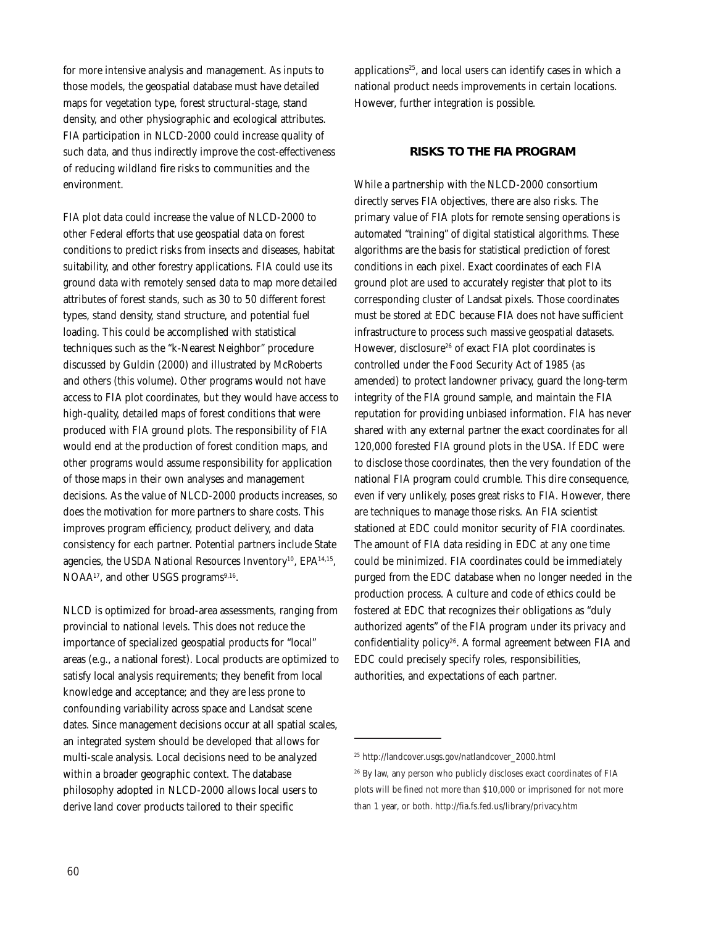for more intensive analysis and management. As inputs to those models, the geospatial database must have detailed maps for vegetation type, forest structural-stage, stand density, and other physiographic and ecological attributes. FIA participation in NLCD-2000 could increase quality of such data, and thus indirectly improve the cost-effectiveness of reducing wildland fire risks to communities and the environment.

FIA plot data could increase the value of NLCD-2000 to other Federal efforts that use geospatial data on forest conditions to predict risks from insects and diseases, habitat suitability, and other forestry applications. FIA could use its ground data with remotely sensed data to map more detailed attributes of forest stands, such as 30 to 50 different forest types, stand density, stand structure, and potential fuel loading. This could be accomplished with statistical techniques such as the "k-Nearest Neighbor" procedure discussed by Guldin (2000) and illustrated by McRoberts and others (this volume). Other programs would not have access to FIA plot coordinates, but they would have access to high-quality, detailed maps of forest conditions that were produced with FIA ground plots. The responsibility of FIA would end at the production of forest condition maps, and other programs would assume responsibility for application of those maps in their own analyses and management decisions. As the value of NLCD-2000 products increases, so does the motivation for more partners to share costs. This improves program efficiency, product delivery, and data consistency for each partner. Potential partners include State agencies, the USDA National Resources Inventory<sup>10</sup>, EPA<sup>14,15</sup>, NOAA<sup>17</sup>, and other USGS programs<sup>9,16</sup>.

NLCD is optimized for broad-area assessments, ranging from provincial to national levels. This does not reduce the importance of specialized geospatial products for "local" areas (e.g., a national forest). Local products are optimized to satisfy local analysis requirements; they benefit from local knowledge and acceptance; and they are less prone to confounding variability across space and Landsat scene dates. Since management decisions occur at all spatial scales, an integrated system should be developed that allows for multi-scale analysis. Local decisions need to be analyzed within a broader geographic context. The database philosophy adopted in NLCD-2000 allows local users to derive land cover products tailored to their specific

applications<sup>25</sup>, and local users can identify cases in which a national product needs improvements in certain locations. However, further integration is possible.

### **RISKS TO THE FIA PROGRAM**

While a partnership with the NLCD-2000 consortium directly serves FIA objectives, there are also risks. The primary value of FIA plots for remote sensing operations is automated "training" of digital statistical algorithms. These algorithms are the basis for statistical prediction of forest conditions in each pixel. Exact coordinates of each FIA ground plot are used to accurately register that plot to its corresponding cluster of Landsat pixels. Those coordinates must be stored at EDC because FIA does not have sufficient infrastructure to process such massive geospatial datasets. However, disclosure<sup>26</sup> of exact FIA plot coordinates is controlled under the Food Security Act of 1985 (as amended) to protect landowner privacy, guard the long-term integrity of the FIA ground sample, and maintain the FIA reputation for providing unbiased information. FIA has never shared with any external partner the exact coordinates for all 120,000 forested FIA ground plots in the USA. If EDC were to disclose those coordinates, then the very foundation of the national FIA program could crumble. This dire consequence, even if very unlikely, poses great risks to FIA. However, there are techniques to manage those risks. An FIA scientist stationed at EDC could monitor security of FIA coordinates. The amount of FIA data residing in EDC at any one time could be minimized. FIA coordinates could be immediately purged from the EDC database when no longer needed in the production process. A culture and code of ethics could be fostered at EDC that recognizes their obligations as "duly authorized agents" of the FIA program under its privacy and confidentiality policy26. A formal agreement between FIA and EDC could precisely specify roles, responsibilities, authorities, and expectations of each partner.

<sup>25</sup> http://landcover.usgs.gov/natlandcover\_2000.html

<sup>&</sup>lt;sup>26</sup> By law, any person who publicly discloses exact coordinates of FIA plots will be fined not more than \$10,000 or imprisoned for not more than 1 year, or both. http://fia.fs.fed.us/library/privacy.htm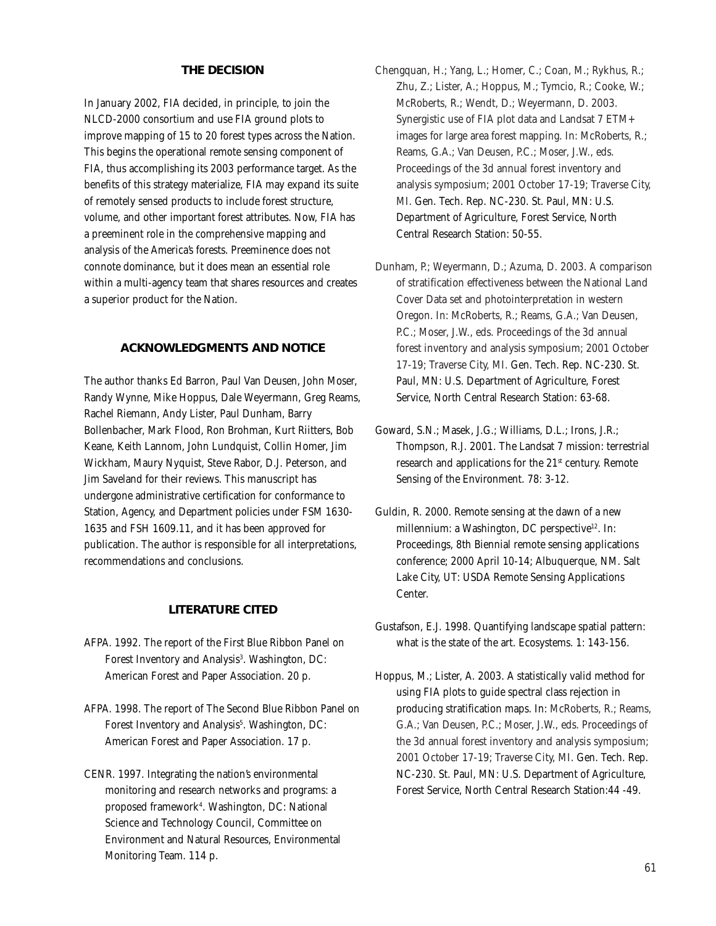### **THE DECISION**

In January 2002, FIA decided, in principle, to join the NLCD-2000 consortium and use FIA ground plots to improve mapping of 15 to 20 forest types across the Nation. This begins the operational remote sensing component of FIA, thus accomplishing its 2003 performance target. As the benefits of this strategy materialize, FIA may expand its suite of remotely sensed products to include forest structure, volume, and other important forest attributes. Now, FIA has a preeminent role in the comprehensive mapping and analysis of the America's forests. Preeminence does not connote dominance, but it does mean an essential role within a multi-agency team that shares resources and creates a superior product for the Nation.

#### **ACKNOWLEDGMENTS AND NOTICE**

The author thanks Ed Barron, Paul Van Deusen, John Moser, Randy Wynne, Mike Hoppus, Dale Weyermann, Greg Reams, Rachel Riemann, Andy Lister, Paul Dunham, Barry Bollenbacher, Mark Flood, Ron Brohman, Kurt Riitters, Bob Keane, Keith Lannom, John Lundquist, Collin Homer, Jim Wickham, Maury Nyquist, Steve Rabor, D.J. Peterson, and Jim Saveland for their reviews. This manuscript has undergone administrative certification for conformance to Station, Agency, and Department policies under FSM 1630- 1635 and FSH 1609.11, and it has been approved for publication. The author is responsible for all interpretations, recommendations and conclusions.

#### **LITERATURE CITED**

- AFPA. 1992. The report of the First Blue Ribbon Panel on Forest Inventory and Analysis<sup>3</sup>. Washington, DC: American Forest and Paper Association. 20 p.
- AFPA. 1998. The report of The Second Blue Ribbon Panel on Forest Inventory and Analysis<sup>5</sup>. Washington, DC: American Forest and Paper Association. 17 p.
- CENR. 1997. Integrating the nation's environmental monitoring and research networks and programs: a proposed framework4 . Washington, DC: National Science and Technology Council, Committee on Environment and Natural Resources, Environmental Monitoring Team. 114 p.
- Chengquan, H.; Yang, L.; Homer, C.; Coan, M.; Rykhus, R.; Zhu, Z.; Lister, A.; Hoppus, M.; Tymcio, R.; Cooke, W.; McRoberts, R.; Wendt, D.; Weyermann, D. 2003. Synergistic use of FIA plot data and Landsat 7 ETM+ images for large area forest mapping. In: McRoberts, R.; Reams, G.A.; Van Deusen, P.C.; Moser, J.W., eds. Proceedings of the 3d annual forest inventory and analysis symposium; 2001 October 17-19; Traverse City, MI. Gen. Tech. Rep. NC-230. St. Paul, MN: U.S. Department of Agriculture, Forest Service, North Central Research Station: 50-55.
- Dunham, P.; Weyermann, D.; Azuma, D. 2003. A comparison of stratification effectiveness between the National Land Cover Data set and photointerpretation in western Oregon. In: McRoberts, R.; Reams, G.A.; Van Deusen, P.C.; Moser, J.W., eds. Proceedings of the 3d annual forest inventory and analysis symposium; 2001 October 17-19; Traverse City, MI. Gen. Tech. Rep. NC-230. St. Paul, MN: U.S. Department of Agriculture, Forest Service, North Central Research Station: 63-68.
- Goward, S.N.; Masek, J.G.; Williams, D.L.; Irons, J.R.; Thompson, R.J. 2001. The Landsat 7 mission: terrestrial research and applications for the 21<sup>st</sup> century. Remote Sensing of the Environment. 78: 3-12.
- Guldin, R. 2000. Remote sensing at the dawn of a new millennium: a Washington, DC perspective<sup>12</sup>. In: Proceedings, 8th Biennial remote sensing applications conference; 2000 April 10-14; Albuquerque, NM. Salt Lake City, UT: USDA Remote Sensing Applications Center.
- Gustafson, E.J. 1998. Quantifying landscape spatial pattern: what is the state of the art. Ecosystems. 1: 143-156.
- Hoppus, M.; Lister, A. 2003. A statistically valid method for using FIA plots to guide spectral class rejection in producing stratification maps. In: McRoberts, R.; Reams, G.A.; Van Deusen, P.C.; Moser, J.W., eds. Proceedings of the 3d annual forest inventory and analysis symposium; 2001 October 17-19; Traverse City, MI. Gen. Tech. Rep. NC-230. St. Paul, MN: U.S. Department of Agriculture, Forest Service, North Central Research Station:44 -49.